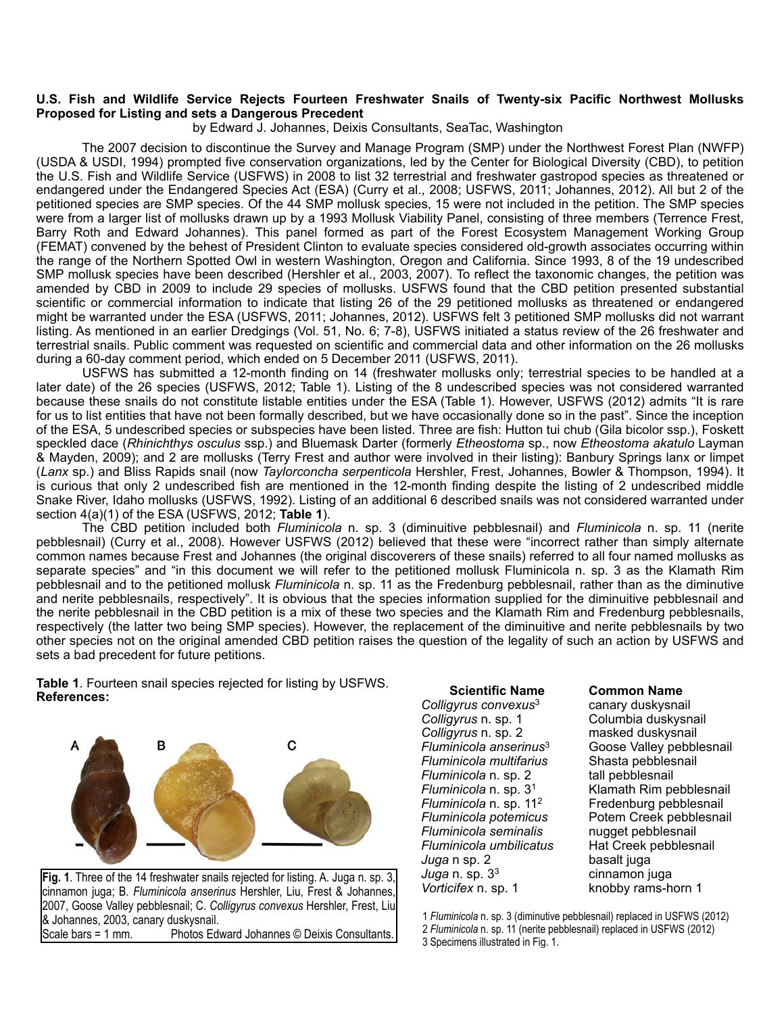## **U.S. Fish and Wildlife Service Rejects Fourteen Freshwater Snails of Twenty-six Pacific Northwest Mollusks Proposed for Listing and sets a Dangerous Precedent**

by Edward J. Johannes, Deixis Consultants, SeaTac, Washington

 The 2007 decision to discontinue the Survey and Manage Program (SMP) under the Northwest Forest Plan (NWFP) (USDA & USDI, 1994) prompted five conservation organizations, led by the Center for Biological Diversity (CBD), to petition the U.S. Fish and Wildlife Service (USFWS) in 2008 to list 32 terrestrial and freshwater gastropod species as threatened or endangered under the Endangered Species Act (ESA) (Curry et al., 2008; USFWS, 2011; Johannes, 2012). All but 2 of the petitioned species are SMP species. Of the 44 SMP mollusk species, 15 were not included in the petition. The SMP species were from a larger list of mollusks drawn up by a 1993 Mollusk Viability Panel, consisting of three members (Terrence Frest, Barry Roth and Edward Johannes). This panel formed as part of the Forest Ecosystem Management Working Group (FEMAT) convened by the behest of President Clinton to evaluate species considered old-growth associates occurring within the range of the Northern Spotted Owl in western Washington, Oregon and California. Since 1993, 8 of the 19 undescribed SMP mollusk species have been described (Hershler et al., 2003, 2007). To reflect the taxonomic changes, the petition was amended by CBD in 2009 to include 29 species of mollusks. USFWS found that the CBD petition presented substantial scientific or commercial information to indicate that listing 26 of the 29 petitioned mollusks as threatened or endangered might be warranted under the ESA (USFWS, 2011; Johannes, 2012). USFWS felt 3 petitioned SMP mollusks did not warrant listing. As mentioned in an earlier Dredgings (Vol. 51, No. 6; 7-8), USFWS initiated a status review of the 26 freshwater and terrestrial snails. Public comment was requested on scientific and commercial data and other information on the 26 mollusks during a 60-day comment period, which ended on 5 December 2011 (USFWS, 2011).

 USFWS has submitted a 12-month finding on 14 (freshwater mollusks only; terrestrial species to be handled at a later date) of the 26 species (USFWS, 2012; Table 1). Listing of the 8 undescribed species was not considered warranted because these snails do not constitute listable entities under the ESA (Table 1). However, USFWS (2012) admits "It is rare for us to list entities that have not been formally described, but we have occasionally done so in the past". Since the inception of the ESA, 5 undescribed species or subspecies have been listed. Three are fish: Hutton tui chub (Gila bicolor ssp.), Foskett speckled dace (*Rhinichthys osculus* ssp.) and Bluemask Darter (formerly *Etheostoma* sp., now *Etheostoma akatulo* Layman & Mayden, 2009); and 2 are mollusks (Terry Frest and author were involved in their listing): Banbury Springs lanx or limpet (*Lanx* sp.) and Bliss Rapids snail (now *Taylorconcha serpenticola* Hershler, Frest, Johannes, Bowler & Thompson, 1994). It is curious that only 2 undescribed fish are mentioned in the 12-month finding despite the listing of 2 undescribed middle Snake River, Idaho mollusks (USFWS, 1992). Listing of an additional 6 described snails was not considered warranted under section 4(a)(1) of the ESA (USFWS, 2012; **Table 1**).

 The CBD petition included both *Fluminicola* n. sp. 3 (diminuitive pebblesnail) and *Fluminicola* n. sp. 11 (nerite pebblesnail) (Curry et al., 2008). However USFWS (2012) believed that these were "incorrect rather than simply alternate common names because Frest and Johannes (the original discoverers of these snails) referred to all four named mollusks as separate species" and "in this document we will refer to the petitioned mollusk Fluminicola n. sp. 3 as the Klamath Rim pebblesnail and to the petitioned mollusk *Fluminicola* n. sp. 11 as the Fredenburg pebblesnail, rather than as the diminutive and nerite pebblesnails, respectively". It is obvious that the species information supplied for the diminuitive pebblesnail and the nerite pebblesnail in the CBD petition is a mix of these two species and the Klamath Rim and Fredenburg pebblesnails, respectively (the latter two being SMP species). However, the replacement of the diminuitive and nerite pebblesnails by two other species not on the original amended CBD petition raises the question of the legality of such an action by USFWS and sets a bad precedent for future petitions.

**Table 1**. Fourteen snail species rejected for listing by USFWS. **References:**



**Fig. 1**. Three of the 14 freshwater snails rejected for listing. A. Juga n. sp. 3, cinnamon juga; B. *Fluminicola anserinus* Hershler, Liu, Frest & Johannes, 2007, Goose Valley pebblesnail; C. *Colligyrus convexus* Hershler, Frest, Liu & Johannes, 2003, canary duskysnail.<br>Scale bars = 1 mm. Photos Edw Photos Edward Johannes © Deixis Consultants.

 **Scientific Name** *Colligyrus convexus*<sup>3</sup> *Colligyrus* n. sp. 1 *Colligyrus* n. sp. 2 *Fluminicola anserinus*<sup>3</sup> *Fluminicola multifarius Fluminicola* n. sp. 2 *Fluminicola* n. sp. 31 *Fluminicola* n. sp. 112 *Fluminicola potemicus Fluminicola seminalis Fluminicola umbilicatus Juga* n sp. 2 *Juga* n. sp. 33 *Vorticifex* n. sp. 1

## **Common Name**

canary duskysnail Columbia duskysnail masked duskysnail Goose Valley pebblesnail Shasta pebblesnail tall pebblesnail Klamath Rim pebblesnail Fredenburg pebblesnail Potem Creek pebblesnail nugget pebblesnail Hat Creek pebblesnail basalt juga cinnamon juga knobby rams-horn 1

1 *Fluminicola* n. sp. 3 (diminutive pebblesnail) replaced in USFWS (2012) 2 *Fluminicola* n. sp. 11 (nerite pebblesnail) replaced in USFWS (2012) 3 Specimens illustrated in Fig. 1.